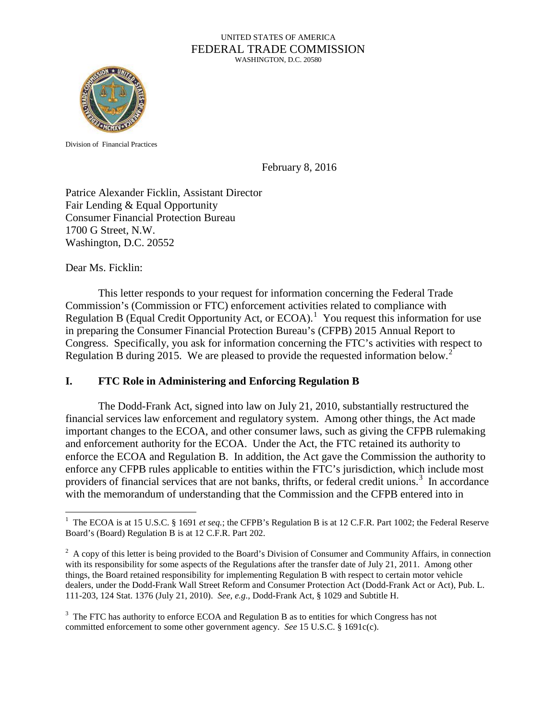#### UNITED STATES OF AMERICA FEDERAL TRADE COMMISSION WASHINGTON, D.C. 20580



Division of Financial Practices

February 8, 2016

Patrice Alexander Ficklin, Assistant Director Fair Lending & Equal Opportunity Consumer Financial Protection Bureau 1700 G Street, N.W. Washington, D.C. 20552

Dear Ms. Ficklin:

This letter responds to your request for information concerning the Federal Trade Commission's (Commission or FTC) enforcement activities related to compliance with Regulation B (Equal Credit Opportunity Act, or  $ECOA$ ).<sup>[1](#page-0-0)</sup> You request this information for use in preparing the Consumer Financial Protection Bureau's (CFPB) 2015 Annual Report to Congress. Specifically, you ask for information concerning the FTC's activities with respect to Regulation B during [2](#page-0-1)015. We are pleased to provide the requested information below.<sup>2</sup>

### **I. FTC Role in Administering and Enforcing Regulation B**

The Dodd-Frank Act, signed into law on July 21, 2010, substantially restructured the financial services law enforcement and regulatory system. Among other things, the Act made important changes to the ECOA, and other consumer laws, such as giving the CFPB rulemaking and enforcement authority for the ECOA. Under the Act, the FTC retained its authority to enforce the ECOA and Regulation B. In addition, the Act gave the Commission the authority to enforce any CFPB rules applicable to entities within the FTC's jurisdiction, which include most providers of financial services that are not banks, thrifts, or federal credit unions.<sup>[3](#page-0-2)</sup> In accordance with the memorandum of understanding that the Commission and the CFPB entered into in

<span id="page-0-0"></span> $\frac{1}{1}$ <sup>1</sup> The ECOA is at 15 U.S.C. § 1691 *et seq*.; the CFPB's Regulation B is at 12 C.F.R. Part 1002; the Federal Reserve Board's (Board) Regulation B is at 12 C.F.R. Part 202.

<span id="page-0-1"></span> $2^2$  A copy of this letter is being provided to the Board's Division of Consumer and Community Affairs, in connection with its responsibility for some aspects of the Regulations after the transfer date of July 21, 2011. Among other things, the Board retained responsibility for implementing Regulation B with respect to certain motor vehicle dealers, under the Dodd-Frank Wall Street Reform and Consumer Protection Act (Dodd-Frank Act or Act), Pub. L. 111-203, 124 Stat. 1376 (July 21, 2010). *See, e.g.,* Dodd-Frank Act, § 1029 and Subtitle H.

<span id="page-0-2"></span> $3$  The FTC has authority to enforce ECOA and Regulation B as to entities for which Congress has not committed enforcement to some other government agency. *See* 15 U.S.C. § 1691c(c).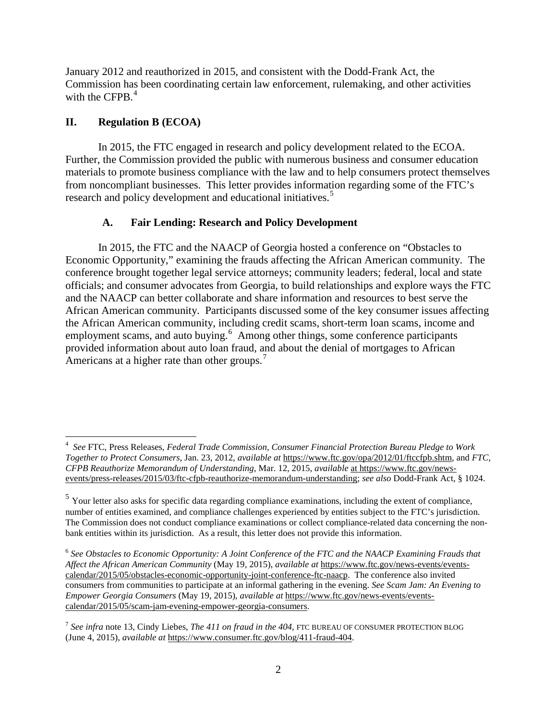January 2012 and reauthorized in 2015, and consistent with the Dodd-Frank Act, the Commission has been coordinating certain law enforcement, rulemaking, and other activities with the CFPB. $<sup>4</sup>$  $<sup>4</sup>$  $<sup>4</sup>$ </sup>

# **II. Regulation B (ECOA)**

In 2015, the FTC engaged in research and policy development related to the ECOA. Further, the Commission provided the public with numerous business and consumer education materials to promote business compliance with the law and to help consumers protect themselves from noncompliant businesses. This letter provides information regarding some of the FTC's research and policy development and educational initiatives.<sup>[5](#page-1-1)</sup>

# **A. Fair Lending: Research and Policy Development**

In 2015, the FTC and the NAACP of Georgia hosted a conference on "Obstacles to Economic Opportunity," examining the frauds affecting the African American community. The conference brought together legal service attorneys; community leaders; federal, local and state officials; and consumer advocates from Georgia, to build relationships and explore ways the FTC and the NAACP can better collaborate and share information and resources to best serve the African American community. Participants discussed some of the key consumer issues affecting the African American community, including credit scams, short-term loan scams, income and employment scams, and auto buying.<sup>[6](#page-1-2)</sup> Among other things, some conference participants provided information about auto loan fraud, and about the denial of mortgages to African Americans at a higher rate than other groups.<sup>[7](#page-1-3)</sup>

<span id="page-1-0"></span> $\frac{1}{4}$  *See* FTC, Press Releases, *Federal Trade Commission, Consumer Financial Protection Bureau Pledge to Work Together to Protect Consumers*, Jan. 23, 2012, *available at* https://www.ftc.gov/opa/2012/01/ftccfpb.shtm, and *FTC, CFPB Reauthorize Memorandum of Understanding*, Mar. 12, 2015, *available* at https://www.ftc.gov/newsevents/press-releases/2015/03/ftc-cfpb-reauthorize-memorandum-understanding; *see also* Dodd-Frank Act, § 1024.

<span id="page-1-1"></span><sup>&</sup>lt;sup>5</sup> Your letter also asks for specific data regarding compliance examinations, including the extent of compliance, number of entities examined, and compliance challenges experienced by entities subject to the FTC's jurisdiction. The Commission does not conduct compliance examinations or collect compliance-related data concerning the nonbank entities within its jurisdiction. As a result, this letter does not provide this information.

<span id="page-1-2"></span><sup>6</sup> *See Obstacles to Economic Opportunity: A Joint Conference of the FTC and the NAACP Examining Frauds that Affect the African American Community* (May 19, 2015), *available at* [https://www.ftc.gov/news-events/events](https://www.ftc.gov/news-events/events-calendar/2015/05/obstacles-economic-opportunity-joint-conference-ftc-naacp)[calendar/2015/05/obstacles-economic-opportunity-joint-conference-ftc-naacp.](https://www.ftc.gov/news-events/events-calendar/2015/05/obstacles-economic-opportunity-joint-conference-ftc-naacp) The conference also invited consumers from communities to participate at an informal gathering in the evening. *See Scam Jam: An Evening to Empower Georgia Consumers* (May 19, 2015), *available at* https://www.ftc.gov/news-events/eventscalendar/2015/05/scam-jam-evening-empower-georgia-consumers.

<span id="page-1-3"></span><sup>7</sup> *See infra* note 13, Cindy Liebes, *The 411 on fraud in the 404*, FTC BUREAU OF CONSUMER PROTECTION BLOG (June 4, 2015), *available at* https://www.consumer.ftc.gov/blog/411-fraud-404.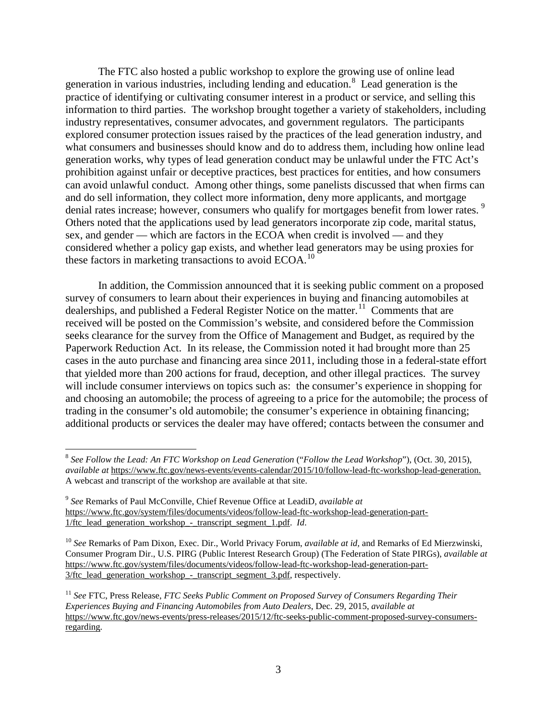The FTC also hosted a public workshop to explore the growing use of online lead generation in various industries, including lending and education.[8](#page-2-0) Lead generation is the practice of identifying or cultivating consumer interest in a product or service, and selling this information to third parties. The workshop brought together a variety of stakeholders, including industry representatives, consumer advocates, and government regulators. The participants explored consumer protection issues raised by the practices of the lead generation industry, and what consumers and businesses should know and do to address them, including how online lead generation works, why types of lead generation conduct may be unlawful under the FTC Act's prohibition against unfair or deceptive practices, best practices for entities, and how consumers can avoid unlawful conduct. Among other things, some panelists discussed that when firms can and do sell information, they collect more information, deny more applicants, and mortgage denial rates increase; however, consumers who qualify for mortgages benefit from lower rates.<sup>[9](#page-2-1)</sup> Others noted that the applications used by lead generators incorporate zip code, marital status, sex, and gender — which are factors in the ECOA when credit is involved — and they considered whether a policy gap exists, and whether lead generators may be using proxies for these factors in marketing transactions to avoid ECOA.<sup>[10](#page-2-2)</sup>

In addition, the Commission announced that it is seeking public comment on a proposed survey of consumers to learn about their experiences in buying and financing automobiles at dealerships, and published a Federal Register Notice on the matter.<sup>[11](#page-2-3)</sup> Comments that are received will be posted on the Commission's website, and considered before the Commission seeks clearance for the survey from the Office of Management and Budget, as required by the Paperwork Reduction Act. In its release, the Commission noted it had brought more than 25 cases in the auto purchase and financing area since 2011, including those in a federal-state effort that yielded more than 200 actions for fraud, deception, and other illegal practices. The survey will include consumer interviews on topics such as: the consumer's experience in shopping for and choosing an automobile; the process of agreeing to a price for the automobile; the process of trading in the consumer's old automobile; the consumer's experience in obtaining financing; additional products or services the dealer may have offered; contacts between the consumer and

<span id="page-2-0"></span> <sup>8</sup> *See Follow the Lead: An FTC Workshop on Lead Generation* ("*Follow the Lead Workshop*")*,* (Oct. 30, 2015), *available at* https://www.ftc.gov/news-events/events-calendar/2015/10/follow-lead-ftc-workshop-lead-generation. A webcast and transcript of the workshop are available at that site.

<span id="page-2-1"></span><sup>9</sup> *See* Remarks of Paul McConville, Chief Revenue Office at LeadiD, *available at*  https://www.ftc.gov/system/files/documents/videos/follow-lead-ftc-workshop-lead-generation-part-1/ftc\_lead\_generation\_workshop\_-\_transcript\_segment\_1.pdf. *Id*.

<span id="page-2-2"></span><sup>10</sup> *See* Remarks of Pam Dixon, Exec. Dir., World Privacy Forum, *available at id,* and Remarks of Ed Mierzwinski, Consumer Program Dir., U.S. PIRG (Public Interest Research Group) (The Federation of State PIRGs), *available at*  https://www.ftc.gov/system/files/documents/videos/follow-lead-ftc-workshop-lead-generation-part-3/ftc\_lead\_generation\_workshop\_-\_transcript\_segment\_3.pdf, respectively.

<span id="page-2-3"></span><sup>11</sup> *See* FTC, Press Release, *FTC Seeks Public Comment on Proposed Survey of Consumers Regarding Their Experiences Buying and Financing Automobiles from Auto Dealers*, Dec. 29, 2015, *available at* https://www.ftc.gov/news-events/press-releases/2015/12/ftc-seeks-public-comment-proposed-survey-consumersregarding.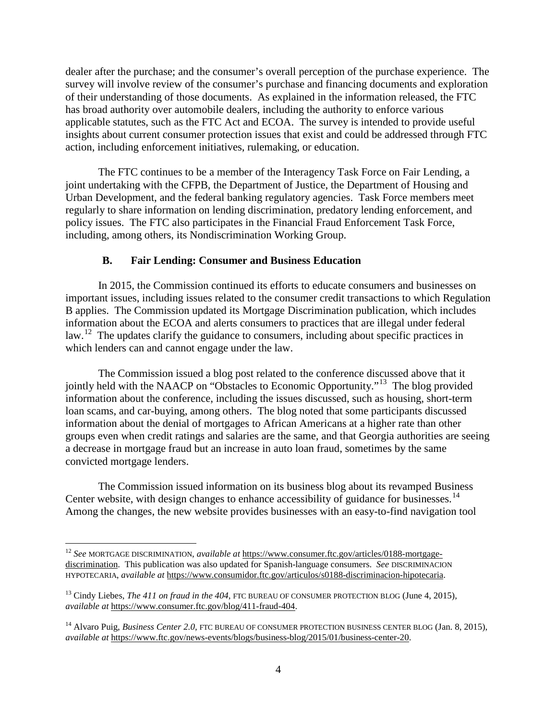dealer after the purchase; and the consumer's overall perception of the purchase experience. The survey will involve review of the consumer's purchase and financing documents and exploration of their understanding of those documents. As explained in the information released, the FTC has broad authority over automobile dealers, including the authority to enforce various applicable statutes, such as the FTC Act and ECOA. The survey is intended to provide useful insights about current consumer protection issues that exist and could be addressed through FTC action, including enforcement initiatives, rulemaking, or education.

The FTC continues to be a member of the Interagency Task Force on Fair Lending, a joint undertaking with the CFPB, the Department of Justice, the Department of Housing and Urban Development, and the federal banking regulatory agencies. Task Force members meet regularly to share information on lending discrimination, predatory lending enforcement, and policy issues. The FTC also participates in the Financial Fraud Enforcement Task Force, including, among others, its Nondiscrimination Working Group.

### **B. Fair Lending: Consumer and Business Education**

In 2015, the Commission continued its efforts to educate consumers and businesses on important issues, including issues related to the consumer credit transactions to which Regulation B applies. The Commission updated its Mortgage Discrimination publication, which includes information about the ECOA and alerts consumers to practices that are illegal under federal law.<sup>[12](#page-3-0)</sup> The updates clarify the guidance to consumers, including about specific practices in which lenders can and cannot engage under the law.

The Commission issued a blog post related to the conference discussed above that it jointly held with the NAACP on "Obstacles to Economic Opportunity."[13](#page-3-1) The blog provided information about the conference, including the issues discussed, such as housing, short-term loan scams, and car-buying, among others. The blog noted that some participants discussed information about the denial of mortgages to African Americans at a higher rate than other groups even when credit ratings and salaries are the same, and that Georgia authorities are seeing a decrease in mortgage fraud but an increase in auto loan fraud, sometimes by the same convicted mortgage lenders.

The Commission issued information on its business blog about its revamped Business Center website, with design changes to enhance accessibility of guidance for businesses.<sup>14</sup> Among the changes, the new website provides businesses with an easy-to-find navigation tool

<span id="page-3-0"></span> <sup>12</sup> *See* MORTGAGE DISCRIMINATION, *available at* https://www.consumer.ftc.gov/articles/0188-mortgagediscrimination. This publication was also updated for Spanish-language consumers. *See* DISCRIMINACION HYPOTECARIA, *available at* https://www.consumidor.ftc.gov/articulos/s0188-discriminacion-hipotecaria.

<span id="page-3-1"></span><sup>&</sup>lt;sup>13</sup> Cindy Liebes, *The 411 on fraud in the 404*, FTC BUREAU OF CONSUMER PROTECTION BLOG (June 4, 2015), *available at* https://www.consumer.ftc.gov/blog/411-fraud-404.

<span id="page-3-2"></span><sup>&</sup>lt;sup>14</sup> Alvaro Puig, *Business Center 2.0*, FTC BUREAU OF CONSUMER PROTECTION BUSINESS CENTER BLOG (Jan. 8, 2015), *available at* https://www.ftc.gov/news-events/blogs/business-blog/2015/01/business-center-20.